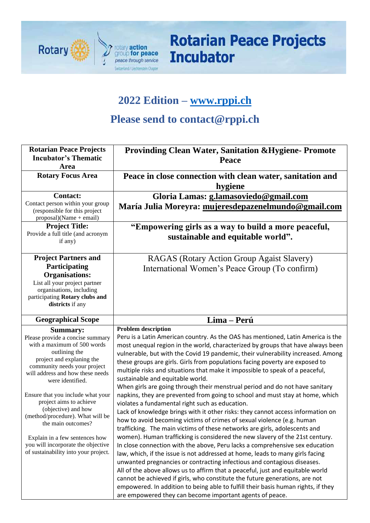

**Rotarian Peace Projects Incubator** 

## **2022 Edition – [www.rppi.ch](http://www.rppi.ch/)**

# **Please send to contact@rppi.ch**

| <b>Rotarian Peace Projects</b>                                    | <b>Provinding Clean Water, Sanitation &amp; Hygiene- Promote</b>                                                                                              |
|-------------------------------------------------------------------|---------------------------------------------------------------------------------------------------------------------------------------------------------------|
| <b>Incubator's Thematic</b><br>Area                               | Peace                                                                                                                                                         |
| <b>Rotary Focus Area</b>                                          | Peace in close connection with clean water, sanitation and                                                                                                    |
|                                                                   | hygiene                                                                                                                                                       |
| <b>Contact:</b>                                                   | Gloria Lamas: g.lamasoviedo@gmail.com                                                                                                                         |
| Contact person within your group<br>(responsible for this project | María Julia Moreyra: mujeresdepazenelmundo@gmail.com                                                                                                          |
| $proposal)(Name + email)$                                         |                                                                                                                                                               |
| <b>Project Title:</b>                                             | "Empowering girls as a way to build a more peaceful,                                                                                                          |
| Provide a full title (and acronym                                 | sustainable and equitable world".                                                                                                                             |
| if any)                                                           |                                                                                                                                                               |
| <b>Project Partners and</b>                                       | RAGAS (Rotary Action Group Agaist Slavery)                                                                                                                    |
| Participating                                                     | International Women's Peace Group (To confirm)                                                                                                                |
| <b>Organisations:</b>                                             |                                                                                                                                                               |
| List all your project partner                                     |                                                                                                                                                               |
| organisations, including                                          |                                                                                                                                                               |
| participating Rotary clubs and<br>districts if any                |                                                                                                                                                               |
|                                                                   |                                                                                                                                                               |
| <b>Geographical Scope</b>                                         | Lima - Perú                                                                                                                                                   |
| <b>Summary:</b>                                                   | <b>Problem description</b>                                                                                                                                    |
| Please provide a concise summary                                  | Peru is a Latin American country. As the OAS has mentioned, Latin America is the                                                                              |
| with a maximum of 500 words<br>outlining the                      | most unequal region in the world, characterized by groups that have always been                                                                               |
| project and explaning the                                         | vulnerable, but with the Covid 19 pandemic, their vulnerability increased. Among                                                                              |
| community needs your project                                      | these groups are girls. Girls from populations facing poverty are exposed to<br>multiple risks and situations that make it impossible to speak of a peaceful, |
| will address and how these needs                                  | sustainable and equitable world.                                                                                                                              |
| were identified.                                                  | When girls are going through their menstrual period and do not have sanitary                                                                                  |
| Ensure that you include what your                                 | napkins, they are prevented from going to school and must stay at home, which                                                                                 |
| project aims to achieve                                           | violates a fundamental right such as education.                                                                                                               |
| (objective) and how                                               | Lack of knowledge brings with it other risks: they cannot access information on                                                                               |
| (method/procedure). What will be<br>the main outcomes?            | how to avoid becoming victims of crimes of sexual violence (e.g. human                                                                                        |
|                                                                   | trafficking. The main victims of these networks are girls, adolescents and                                                                                    |
| Explain in a few sentences how                                    | women). Human trafficking is considered the new slavery of the 21st century.                                                                                  |
| you will incorporate the objective                                | In close connection with the above, Peru lacks a comprehensive sex education                                                                                  |
| of sustainability into your project.                              | law, which, if the issue is not addressed at home, leads to many girls facing                                                                                 |
|                                                                   | unwanted pregnancies or contracting infectious and contagious diseases.                                                                                       |
|                                                                   | All of the above allows us to affirm that a peaceful, just and equitable world                                                                                |
|                                                                   | cannot be achieved if girls, who constitute the future generations, are not                                                                                   |
|                                                                   | empowered. In addition to being able to fulfill their basis human rights, if they                                                                             |
|                                                                   | are empowered they can become important agents of peace.                                                                                                      |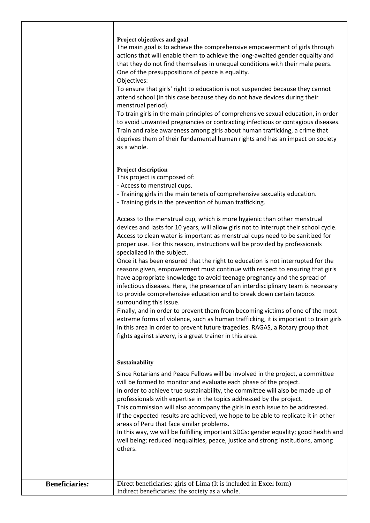#### **Project objectives and goal**

The main goal is to achieve the comprehensive empowerment of girls through actions that will enable them to achieve the long-awaited gender equality and that they do not find themselves in unequal conditions with their male peers. One of the presuppositions of peace is equality.

Objectives:

To ensure that girls' right to education is not suspended because they cannot attend school (in this case because they do not have devices during their menstrual period).

To train girls in the main principles of comprehensive sexual education, in order to avoid unwanted pregnancies or contracting infectious or contagious diseases. Train and raise awareness among girls about human trafficking, a crime that deprives them of their fundamental human rights and has an impact on society as a whole.

#### **Project description**

This project is composed of:

- Access to menstrual cups.
- Training girls in the main tenets of comprehensive sexuality education.
- Training girls in the prevention of human trafficking.

Access to the menstrual cup, which is more hygienic than other menstrual devices and lasts for 10 years, will allow girls not to interrupt their school cycle. Access to clean water is important as menstrual cups need to be sanitized for proper use. For this reason, instructions will be provided by professionals specialized in the subject.

Once it has been ensured that the right to education is not interrupted for the reasons given, empowerment must continue with respect to ensuring that girls have appropriate knowledge to avoid teenage pregnancy and the spread of infectious diseases. Here, the presence of an interdisciplinary team is necessary to provide comprehensive education and to break down certain taboos surrounding this issue.

Finally, and in order to prevent them from becoming victims of one of the most extreme forms of violence, such as human trafficking, it is important to train girls in this area in order to prevent future tragedies. RAGAS, a Rotary group that fights against slavery, is a great trainer in this area.

#### **Sustainability**

Since Rotarians and Peace Fellows will be involved in the project, a committee will be formed to monitor and evaluate each phase of the project. In order to achieve true sustainability, the committee will also be made up of professionals with expertise in the topics addressed by the project. This commission will also accompany the girls in each issue to be addressed. If the expected results are achieved, we hope to be able to replicate it in other areas of Peru that face similar problems. In this way, we will be fulfilling important SDGs: gender equality; good health and

well being; reduced inequalities, peace, justice and strong institutions, among others.

| <b>Beneficiaries:</b> | Direct beneficiaries: girls of Lima (It is included in Excel form) |
|-----------------------|--------------------------------------------------------------------|
|                       | Indirect beneficiaries: the society as a whole.                    |
|                       |                                                                    |